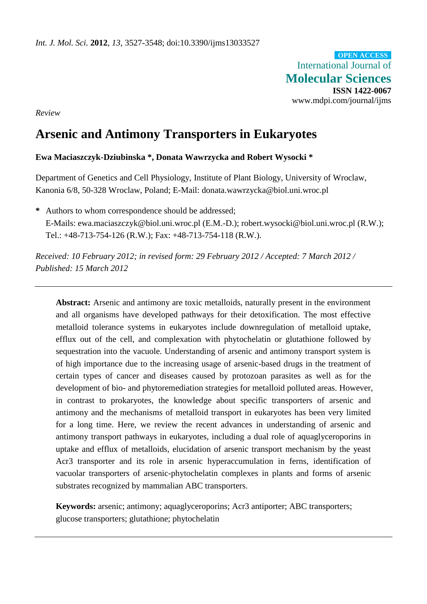International Journal of **Molecular Sciences ISSN 1422-0067** www.mdpi.com/journal/ijms **OPEN ACCESS**

*Review*

# **Arsenic and Antimony Transporters in Eukaryotes**

# **Ewa Maciaszczyk-Dziubinska \*, Donata Wawrzycka and Robert Wysocki \***

Department of Genetics and Cell Physiology, Institute of Plant Biology, University of Wroclaw, Kanonia 6/8, 50-328 Wroclaw, Poland; E-Mail: donata.wawrzycka@biol.uni.wroc.pl

**\*** Authors to whom correspondence should be addressed; E-Mails: ewa.maciaszczyk@biol.uni.wroc.pl (E.M.-D.); robert.wysocki@biol.uni.wroc.pl (R.W.); Tel.: +48-713-754-126 (R.W.); Fax: +48-713-754-118 (R.W.).

*Received: 10 February 2012; in revised form: 29 February 2012 / Accepted: 7 March 2012 / Published: 15 March 2012*

**Abstract:** Arsenic and antimony are toxic metalloids, naturally present in the environment and all organisms have developed pathways for their detoxification. The most effective metalloid tolerance systems in eukaryotes include downregulation of metalloid uptake, efflux out of the cell, and complexation with phytochelatin or glutathione followed by sequestration into the vacuole. Understanding of arsenic and antimony transport system is of high importance due to the increasing usage of arsenic-based drugs in the treatment of certain types of cancer and diseases caused by protozoan parasites as well as for the development of bio- and phytoremediation strategies for metalloid polluted areas. However, in contrast to prokaryotes, the knowledge about specific transporters of arsenic and antimony and the mechanisms of metalloid transport in eukaryotes has been very limited for a long time. Here, we review the recent advances in understanding of arsenic and antimony transport pathways in eukaryotes, including a dual role of aquaglyceroporins in uptake and efflux of metalloids, elucidation of arsenic transport mechanism by the yeast Acr3 transporter and its role in arsenic hyperaccumulation in ferns, identification of vacuolar transporters of arsenic-phytochelatin complexes in plants and forms of arsenic substrates recognized by mammalian ABC transporters.

**Keywords:** arsenic; antimony; aquaglyceroporins; Acr3 antiporter; ABC transporters; glucose transporters; glutathione; phytochelatin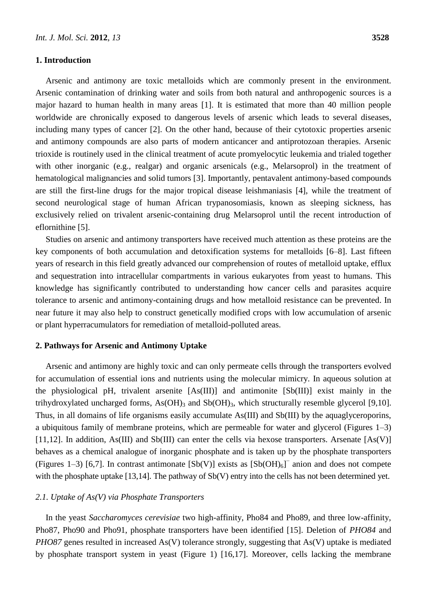#### **1. Introduction**

Arsenic and antimony are toxic metalloids which are commonly present in the environment. Arsenic contamination of drinking water and soils from both natural and anthropogenic sources is a major hazard to human health in many areas [1]. It is estimated that more than 40 million people worldwide are chronically exposed to dangerous levels of arsenic which leads to several diseases, including many types of cancer [2]. On the other hand, because of their cytotoxic properties arsenic and antimony compounds are also parts of modern anticancer and antiprotozoan therapies. Arsenic trioxide is routinely used in the clinical treatment of acute promyelocytic leukemia and trialed together with other inorganic (e.g., realgar) and organic arsenicals (e.g., Melarsoprol) in the treatment of hematological malignancies and solid tumors [3]. Importantly, pentavalent antimony-based compounds are still the first-line drugs for the major tropical disease leishmaniasis [4], while the treatment of second neurological stage of human African trypanosomiasis, known as sleeping sickness, has exclusively relied on trivalent arsenic-containing drug Melarsoprol until the recent introduction of eflornithine [5].

Studies on arsenic and antimony transporters have received much attention as these proteins are the key components of both accumulation and detoxification systems for metalloids [6–8]. Last fifteen years of research in this field greatly advanced our comprehension of routes of metalloid uptake, efflux and sequestration into intracellular compartments in various eukaryotes from yeast to humans. This knowledge has significantly contributed to understanding how cancer cells and parasites acquire tolerance to arsenic and antimony-containing drugs and how metalloid resistance can be prevented. In near future it may also help to construct genetically modified crops with low accumulation of arsenic or plant hyperracumulators for remediation of metalloid-polluted areas.

#### **2. Pathways for Arsenic and Antimony Uptake**

Arsenic and antimony are highly toxic and can only permeate cells through the transporters evolved for accumulation of essential ions and nutrients using the molecular mimicry. In aqueous solution at the physiological pH, trivalent arsenite [As(III)] and antimonite [Sb(III)] exist mainly in the trihydroxylated uncharged forms,  $As(OH)_3$  and  $Sb(OH)_3$ , which structurally resemble glycerol [9,10]. Thus, in all domains of life organisms easily accumulate As(III) and Sb(III) by the aquaglyceroporins, a ubiquitous family of membrane proteins, which are permeable for water and glycerol (Figures 1–3) [11,12]. In addition, As(III) and Sb(III) can enter the cells via hexose transporters. Arsenate  $[As(V)]$ behaves as a chemical analogue of inorganic phosphate and is taken up by the phosphate transporters (Figures 1–3) [6,7]. In contrast antimonate  $[Sb(V)]$  exists as  $[Sb(OH)<sub>6</sub>]<sup>-</sup>$  anion and does not compete with the phosphate uptake [13,14]. The pathway of Sb(V) entry into the cells has not been determined yet.

#### *2.1. Uptake of As(V) via Phosphate Transporters*

In the yeast *Saccharomyces cerevisiae* two high-affinity, Pho84 and Pho89, and three low-affinity, Pho87, Pho90 and Pho91, phosphate transporters have been identified [15]. Deletion of *PHO84* and *PHO87* genes resulted in increased As(V) tolerance strongly, suggesting that As(V) uptake is mediated by phosphate transport system in yeast (Figure 1) [16,17]. Moreover, cells lacking the membrane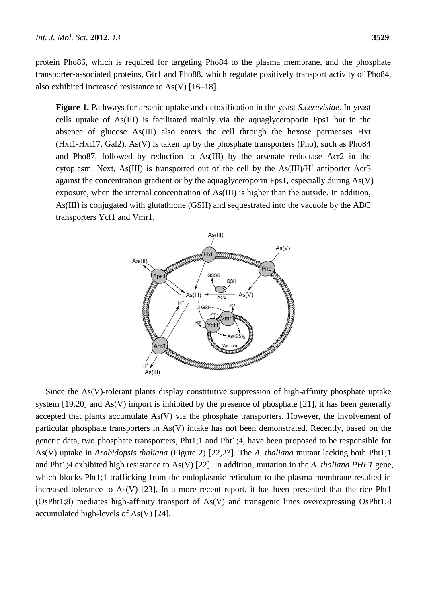protein Pho86, which is required for targeting Pho84 to the plasma membrane, and the phosphate transporter-associated proteins, Gtr1 and Pho88, which regulate positively transport activity of Pho84, also exhibited increased resistance to As(V) [16–18].

**Figure 1.** Pathways for arsenic uptake and detoxification in the yeast *S.cerevisiae*. In yeast cells uptake of As(III) is facilitated mainly via the aquaglyceroporin Fps1 but in the absence of glucose As(III) also enters the cell through the hexose permeases Hxt (Hxt1-Hxt17, Gal2). As(V) is taken up by the phosphate transporters (Pho), such as Pho84 and Pho87, followed by reduction to As(III) by the arsenate reductase Acr2 in the cytoplasm. Next, As(III) is transported out of the cell by the  $As(III)/H^+$  antiporter Acr3 against the concentration gradient or by the aquaglyceroporin Fps1, especially during  $As(V)$ exposure, when the internal concentration of As(III) is higher than the outside. In addition, As(III) is conjugated with glutathione (GSH) and sequestrated into the vacuole by the ABC transporters Ycf1 and Vmr1.



Since the As(V)-tolerant plants display constitutive suppression of high-affinity phosphate uptake system [19,20] and As(V) import is inhibited by the presence of phosphate [21], it has been generally accepted that plants accumulate As(V) via the phosphate transporters. However, the involvement of particular phosphate transporters in As(V) intake has not been demonstrated. Recently, based on the genetic data, two phosphate transporters, Pht1;1 and Pht1;4, have been proposed to be responsible for As(V) uptake in *Arabidopsis thaliana* (Figure 2) [22,23]. The *A. thaliana* mutant lacking both Pht1;1 and Pht1;4 exhibited high resistance to As(V) [22]. In addition, mutation in the *A. thaliana PHF1* gene, which blocks Pht1;1 trafficking from the endoplasmic reticulum to the plasma membrane resulted in increased tolerance to As(V) [23]. In a more recent report, it has been presented that the rice Pht1 (OsPht1;8) mediates high-affinity transport of As(V) and transgenic lines overexpressing OsPht1;8 accumulated high-levels of As(V) [24].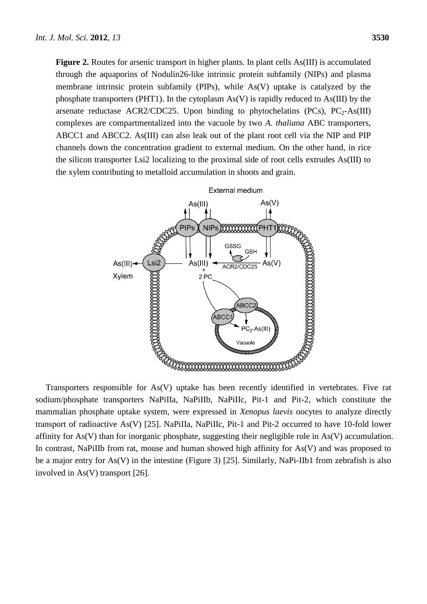**Figure 2.** Routes for arsenic transport in higher plants. In plant cells As(III) is accumulated through the aquaporins of Nodulin26-like intrinsic protein subfamily (NIPs) and plasma membrane intrinsic protein subfamily (PIPs), while As(V) uptake is catalyzed by the phosphate transporters (PHT1). In the cytoplasm  $As(V)$  is rapidly reduced to  $As(III)$  by the arsenate reductase ACR2/CDC25. Upon binding to phytochelatins (PCs),  $PC_2$ -As(III) complexes are compartmentalized into the vacuole by two *A*. *thaliana* ABC transporters, ABCC1 and ABCC2. As(III) can also leak out of the plant root cell via the NIP and PIP channels down the concentration gradient to external medium. On the other hand, in rice the silicon transporter Lsi2 localizing to the proximal side of root cells extrudes As(III) to the xylem contributing to metalloid accumulation in shoots and grain.



Transporters responsible for As(V) uptake has been recently identified in vertebrates. Five rat sodium/phosphate transporters NaPiIIa, NaPiIIb, NaPiIIc, Pit-1 and Pit-2, which constitute the mammalian phosphate uptake system, were expressed in *Xenopus laevis* oocytes to analyze directly transport of radioactive As(V) [25]. NaPiIIa, NaPiIIc, Pit-1 and Pit-2 occurred to have 10-fold lower affinity for As(V) than for inorganic phosphate, suggesting their negligible role in As(V) accumulation. In contrast, NaPiIIb from rat, mouse and human showed high affinity for As(V) and was proposed to be a major entry for As(V) in the intestine (Figure 3) [25]. Similarly, NaPi-IIb1 from zebrafish is also involved in As(V) transport [26].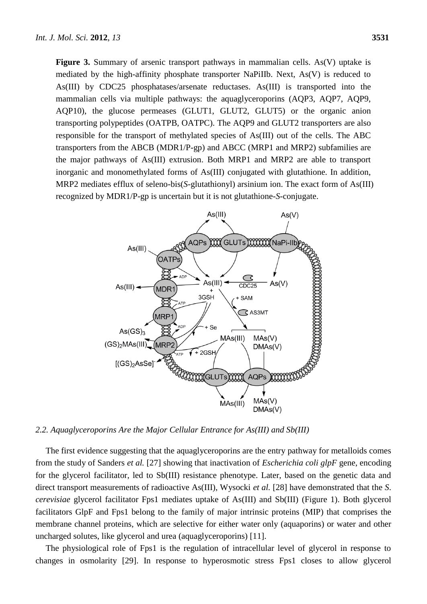**Figure 3.** Summary of arsenic transport pathways in mammalian cells. As (V) uptake is mediated by the high-affinity phosphate transporter NaPiIIb. Next, As(V) is reduced to As(III) by CDC25 phosphatases/arsenate reductases. As(III) is transported into the mammalian cells via multiple pathways: the aquaglyceroporins (AQP3, AQP7, AQP9, AQP10), the glucose permeases (GLUT1, GLUT2, GLUT5) or the organic anion transporting polypeptides (OATPB, OATPC). The AQP9 and GLUT2 transporters are also responsible for the transport of methylated species of As(III) out of the cells. The ABC transporters from the ABCB (MDR1/P-gp) and ABCC (MRP1 and MRP2) subfamilies are the major pathways of As(III) extrusion. Both MRP1 and MRP2 are able to transport inorganic and monomethylated forms of As(III) conjugated with glutathione. In addition, MRP2 mediates efflux of seleno-bis(*S*-glutathionyl) arsinium ion. The exact form of As(III) recognized by MDR1/P-gp is uncertain but it is not glutathione-*S*-conjugate.



*2.2. Aquaglyceroporins Are the Major Cellular Entrance for As(III) and Sb(III)*

The first evidence suggesting that the aquaglyceroporins are the entry pathway for metalloids comes from the study of Sanders *et al.* [27] showing that inactivation of *Escherichia coli glpF* gene, encoding for the glycerol facilitator, led to Sb(III) resistance phenotype. Later, based on the genetic data and direct transport measurements of radioactive As(III), Wysocki *et al.* [28] have demonstrated that the *S*. *cerevisiae* glycerol facilitator Fps1 mediates uptake of As(III) and Sb(III) (Figure 1). Both glycerol facilitators GlpF and Fps1 belong to the family of major intrinsic proteins (MIP) that comprises the membrane channel proteins, which are selective for either water only (aquaporins) or water and other uncharged solutes, like glycerol and urea (aquaglyceroporins) [11].

The physiological role of Fps1 is the regulation of intracellular level of glycerol in response to changes in osmolarity [29]. In response to hyperosmotic stress Fps1 closes to allow glycerol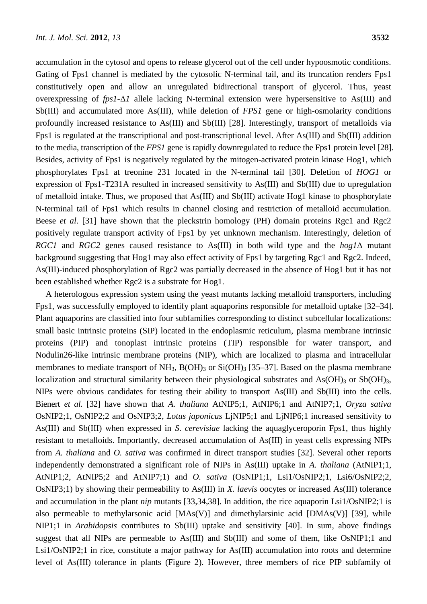accumulation in the cytosol and opens to release glycerol out of the cell under hypoosmotic conditions. Gating of Fps1 channel is mediated by the cytosolic N-terminal tail, and its truncation renders Fps1 constitutively open and allow an unregulated bidirectional transport of glycerol. Thus, yeast overexpressing of *fps1*-Δ*1* allele lacking N-terminal extension were hypersensitive to As(III) and Sb(III) and accumulated more As(III), while deletion of *FPS1* gene or high-osmolarity conditions profoundly increased resistance to As(III) and Sb(III) [28]. Interestingly, transport of metalloids via Fps1 is regulated at the transcriptional and post-transcriptional level. After As(III) and Sb(III) addition to the media, transcription of the *FPS1* gene is rapidly downregulated to reduce the Fps1 protein level [28]. Besides, activity of Fps1 is negatively regulated by the mitogen-activated protein kinase Hog1, which phosphorylates Fps1 at treonine 231 located in the N-terminal tail [30]. Deletion of *HOG1* or expression of Fps1-T231A resulted in increased sensitivity to As(III) and Sb(III) due to upregulation of metalloid intake. Thus, we proposed that As(III) and Sb(III) activate Hog1 kinase to phosphorylate N-terminal tail of Fps1 which results in channel closing and restriction of metalloid accumulation. Beese *et al.* [31] have shown that the pleckstrin homology (PH) domain proteins Rgc1 and Rgc2 positively regulate transport activity of Fps1 by yet unknown mechanism. Interestingly, deletion of *RGC1* and *RGC2* genes caused resistance to As(III) in both wild type and the *hog1*Δ mutant background suggesting that Hog1 may also effect activity of Fps1 by targeting Rgc1 and Rgc2. Indeed, As(III)-induced phosphorylation of Rgc2 was partially decreased in the absence of Hog1 but it has not been established whether Rgc2 is a substrate for Hog1.

A heterologous expression system using the yeast mutants lacking metalloid transporters, including Fps1, was successfully employed to identify plant aquaporins responsible for metalloid uptake [32–34]. Plant aquaporins are classified into four subfamilies corresponding to distinct subcellular localizations: small basic intrinsic proteins (SIP) located in the endoplasmic reticulum, plasma membrane intrinsic proteins (PIP) and tonoplast intrinsic proteins (TIP) responsible for water transport, and Nodulin26-like intrinsic membrane proteins (NIP), which are localized to plasma and intracellular membranes to mediate transport of NH<sub>3</sub>, B(OH)<sub>3</sub> or Si(OH)<sub>3</sub> [35–37]. Based on the plasma membrane localization and structural similarity between their physiological substrates and  $As(OH)_{3}$  or  $Sb(OH)_{3}$ , NIPs were obvious candidates for testing their ability to transport As(III) and Sb(III) into the cells. Bienert *et al.* [32] have shown that *A. thaliana* AtNIP5;1, AtNIP6;1 and AtNIP7;1, *Oryza sativa* OsNIP2;1, OsNIP2;2 and OsNIP3;2, *Lotus japonicus* LjNIP5;1 and LjNIP6;1 increased sensitivity to As(III) and Sb(III) when expressed in *S*. *cerevisiae* lacking the aquaglyceroporin Fps1, thus highly resistant to metalloids. Importantly, decreased accumulation of As(III) in yeast cells expressing NIPs from *A. thaliana* and *O. sativa* was confirmed in direct transport studies [32]. Several other reports independently demonstrated a significant role of NIPs in As(III) uptake in *A. thaliana* (AtNIP1;1, AtNIP1;2, AtNIP5;2 and AtNIP7;1) and *O. sativa* (OsNIP1;1, Lsi1/OsNIP2;1, Lsi6/OsNIP2;2, OsNIP3;1) by showing their permeability to As(III) in *X. laevis* oocytes or increased As(III) tolerance and accumulation in the plant *nip* mutants [33,34,38]. In addition, the rice aquaporin Lsi1/OsNIP2;1 is also permeable to methylarsonic acid [MAs(V)] and dimethylarsinic acid [DMAs(V)] [39], while NIP1;1 in *Arabidopsis* contributes to Sb(III) uptake and sensitivity [40]. In sum, above findings suggest that all NIPs are permeable to As(III) and Sb(III) and some of them, like OsNIP1;1 and Lsi1/OsNIP2;1 in rice, constitute a major pathway for As(III) accumulation into roots and determine level of As(III) tolerance in plants (Figure 2). However, three members of rice PIP subfamily of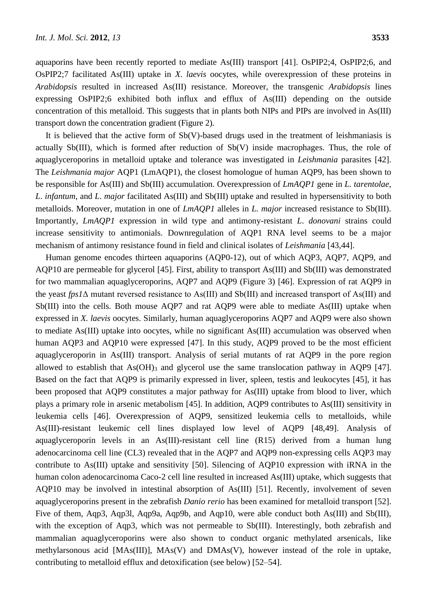aquaporins have been recently reported to mediate As(III) transport [41]. OsPIP2;4, OsPIP2;6, and OsPIP2;7 facilitated As(III) uptake in *X*. *laevis* oocytes, while overexpression of these proteins in *Arabidopsis* resulted in increased As(III) resistance. Moreover, the transgenic *Arabidopsis* lines expressing OsPIP2;6 exhibited both influx and efflux of As(III) depending on the outside concentration of this metalloid. This suggests that in plants both NIPs and PIPs are involved in As(III) transport down the concentration gradient (Figure 2).

It is believed that the active form of Sb(V)-based drugs used in the treatment of leishmaniasis is actually Sb(III), which is formed after reduction of Sb(V) inside macrophages. Thus, the role of aquaglyceroporins in metalloid uptake and tolerance was investigated in *Leishmania* parasites [42]. The *Leishmania major* AQP1 (LmAQP1), the closest homologue of human AQP9, has been shown to be responsible for As(III) and Sb(III) accumulation. Overexpression of *LmAQP1* gene in *L. tarentolae*, *L*. *infantum*, and *L*. *major* facilitated As(III) and Sb(III) uptake and resulted in hypersensitivity to both metalloids. Moreover, mutation in one of *LmAQP1* alleles in *L. major* increased resistance to Sb(III). Importantly, *LmAQP1* expression in wild type and antimony-resistant *L*. *donovani* strains could increase sensitivity to antimonials. Downregulation of AQP1 RNA level seems to be a major mechanism of antimony resistance found in field and clinical isolates of *Leishmania* [43,44].

Human genome encodes thirteen aquaporins (AQP0-12), out of which AQP3, AQP7, AQP9, and AQP10 are permeable for glycerol [45]. First, ability to transport As(III) and Sb(III) was demonstrated for two mammalian aquaglyceroporins, AQP7 and AQP9 (Figure 3) [46]. Expression of rat AQP9 in the yeast *fps1*∆ mutant reversed resistance to As(III) and Sb(III) and increased transport of As(III) and Sb(III) into the cells. Both mouse AQP7 and rat AQP9 were able to mediate As(III) uptake when expressed in *X. laevis* oocytes. Similarly, human aquaglyceroporins AQP7 and AQP9 were also shown to mediate As(III) uptake into oocytes, while no significant As(III) accumulation was observed when human AQP3 and AQP10 were expressed [47]. In this study, AQP9 proved to be the most efficient aquaglyceroporin in As(III) transport. Analysis of serial mutants of rat AQP9 in the pore region allowed to establish that  $As(OH)$ <sub>3</sub> and glycerol use the same translocation pathway in AQP9 [47]. Based on the fact that AQP9 is primarily expressed in liver, spleen, testis and leukocytes [45], it has been proposed that AQP9 constitutes a major pathway for As(III) uptake from blood to liver, which plays a primary role in arsenic metabolism [45]. In addition, AQP9 contributes to As(III) sensitivity in leukemia cells [46]. Overexpression of AQP9, sensitized leukemia cells to metalloids, while As(III)-resistant leukemic cell lines displayed low level of AQP9 [48,49]. Analysis of aquaglyceroporin levels in an As(III)-resistant cell line (R15) derived from a human lung adenocarcinoma cell line (CL3) revealed that in the AQP7 and AQP9 non-expressing cells AQP3 may contribute to As(III) uptake and sensitivity [50]. Silencing of AQP10 expression with iRNA in the human colon adenocarcinoma Caco-2 cell line resulted in increased As(III) uptake, which suggests that AQP10 may be involved in intestinal absorption of As(III) [51]. Recently, involvement of seven aquaglyceroporins present in the zebrafish *Danio rerio* has been examined for metalloid transport [52]. Five of them, Aqp3, Aqp3l, Aqp9a, Aqp9b, and Aqp10, were able conduct both As(III) and Sb(III), with the exception of Aqp3, which was not permeable to Sb(III). Interestingly, both zebrafish and mammalian aquaglyceroporins were also shown to conduct organic methylated arsenicals, like methylarsonous acid [MAs(III)], MAs(V) and DMAs(V), however instead of the role in uptake, contributing to metalloid efflux and detoxification (see below) [52–54].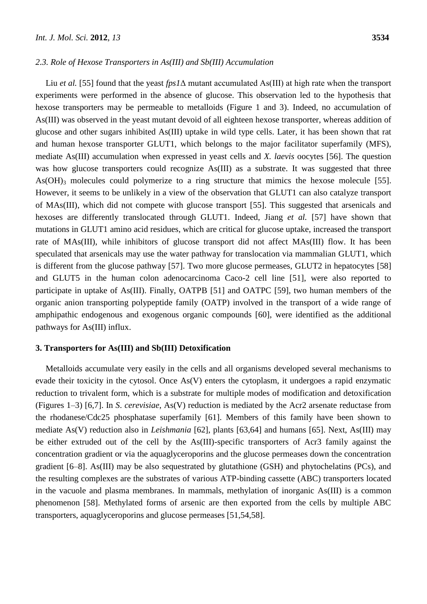#### *2.3. Role of Hexose Transporters in As(III) and Sb(III) Accumulation*

Liu *et al.* [55] found that the yeast *fps1*Δ mutant accumulated As(III) at high rate when the transport experiments were performed in the absence of glucose. This observation led to the hypothesis that hexose transporters may be permeable to metalloids (Figure 1 and 3). Indeed, no accumulation of As(III) was observed in the yeast mutant devoid of all eighteen hexose transporter, whereas addition of glucose and other sugars inhibited As(III) uptake in wild type cells. Later, it has been shown that rat and human hexose transporter GLUT1, which belongs to the major facilitator superfamily (MFS), mediate As(III) accumulation when expressed in yeast cells and *X. laevis* oocytes [56]. The question was how glucose transporters could recognize As(III) as a substrate. It was suggested that three  $As(OH)_{3}$  molecules could polymerize to a ring structure that mimics the hexose molecule [55]. However, it seems to be unlikely in a view of the observation that GLUT1 can also catalyze transport of MAs(III), which did not compete with glucose transport [55]. This suggested that arsenicals and hexoses are differently translocated through GLUT1. Indeed, Jiang *et al.* [57] have shown that mutations in GLUT1 amino acid residues, which are critical for glucose uptake, increased the transport rate of MAs(III), while inhibitors of glucose transport did not affect MAs(III) flow. It has been speculated that arsenicals may use the water pathway for translocation via mammalian GLUT1, which is different from the glucose pathway [57]. Two more glucose permeases, GLUT2 in hepatocytes [58] and GLUT5 in the human colon adenocarcinoma Caco-2 cell line [51], were also reported to participate in uptake of As(III). Finally, OATPB [51] and OATPC [59], two human members of the organic anion transporting polypeptide family (OATP) involved in the transport of a wide range of amphipathic endogenous and exogenous organic compounds [60], were identified as the additional pathways for As(III) influx.

## **3. Transporters for As(III) and Sb(III) Detoxification**

Metalloids accumulate very easily in the cells and all organisms developed several mechanisms to evade their toxicity in the cytosol. Once As(V) enters the cytoplasm, it undergoes a rapid enzymatic reduction to trivalent form, which is a substrate for multiple modes of modification and detoxification (Figures 1–3) [6,7]. In *S*. *cerevisiae*, As(V) reduction is mediated by the Acr2 arsenate reductase from the rhodanese/Cdc25 phosphatase superfamily [61]. Members of this family have been shown to mediate As(V) reduction also in *Leishmania* [62], plants [63,64] and humans [65]. Next, As(III) may be either extruded out of the cell by the As(III)-specific transporters of Acr3 family against the concentration gradient or via the aquaglyceroporins and the glucose permeases down the concentration gradient [6–8]. As(III) may be also sequestrated by glutathione (GSH) and phytochelatins (PCs), and the resulting complexes are the substrates of various ATP-binding cassette (ABC) transporters located in the vacuole and plasma membranes. In mammals, methylation of inorganic As(III) is a common phenomenon [58]. Methylated forms of arsenic are then exported from the cells by multiple ABC transporters, aquaglyceroporins and glucose permeases [51,54,58].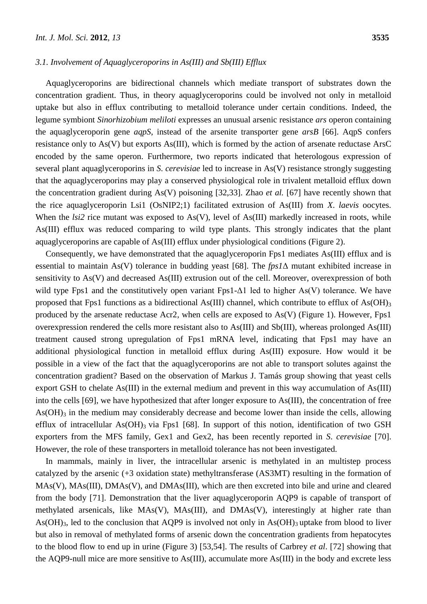## *3.1. Involvement of Aquaglyceroporins in As(III) and Sb(III) Efflux*

Aquaglyceroporins are bidirectional channels which mediate transport of substrates down the concentration gradient. Thus, in theory aquaglyceroporins could be involved not only in metalloid uptake but also in efflux contributing to metalloid tolerance under certain conditions. Indeed, the legume symbiont *Sinorhizobium meliloti* expresses an unusual arsenic resistance *ars* operon containing the aquaglyceroporin gene *aqpS*, instead of the arsenite transporter gene *arsB* [66]. AqpS confers resistance only to As(V) but exports As(III), which is formed by the action of arsenate reductase ArsC encoded by the same operon. Furthermore, two reports indicated that heterologous expression of several plant aquaglyceroporins in *S*. *cerevisiae* led to increase in As(V) resistance strongly suggesting that the aquaglyceroporins may play a conserved physiological role in trivalent metalloid efflux down the concentration gradient during As(V) poisoning [32,33]. Zhao *et al.* [67] have recently shown that the rice aquaglyceroporin Lsi1 (OsNIP2;1) facilitated extrusion of As(III) from *X*. *laevis* oocytes. When the *lsi2* rice mutant was exposed to As(V), level of As(III) markedly increased in roots, while As(III) efflux was reduced comparing to wild type plants. This strongly indicates that the plant aquaglyceroporins are capable of As(III) efflux under physiological conditions (Figure 2).

Consequently, we have demonstrated that the aquaglyceroporin Fps1 mediates As(III) efflux and is essential to maintain As(V) tolerance in budding yeast [68]. The *fps1*Δ mutant exhibited increase in sensitivity to As(V) and decreased As(III) extrusion out of the cell. Moreover, overexpression of both wild type Fps1 and the constitutively open variant Fps1- $\Delta$ 1 led to higher As(V) tolerance. We have proposed that Fps1 functions as a bidirectional As(III) channel, which contribute to efflux of As(OH)<sub>3</sub> produced by the arsenate reductase Acr2, when cells are exposed to As(V) (Figure 1). However, Fps1 overexpression rendered the cells more resistant also to As(III) and Sb(III), whereas prolonged As(III) treatment caused strong upregulation of Fps1 mRNA level, indicating that Fps1 may have an additional physiological function in metalloid efflux during As(III) exposure. How would it be possible in a view of the fact that the aquaglyceroporins are not able to transport solutes against the concentration gradient? Based on the observation of Markus J. Tamás group showing that yeast cells export GSH to chelate As(III) in the external medium and prevent in this way accumulation of As(III) into the cells [69], we have hypothesized that after longer exposure to As(III), the concentration of free  $As(OH)$ <sub>3</sub> in the medium may considerably decrease and become lower than inside the cells, allowing efflux of intracellular  $As(OH)_3$  via Fps1 [68]. In support of this notion, identification of two GSH exporters from the MFS family, Gex1 and Gex2, has been recently reported in *S*. *cerevisiae* [70]. However, the role of these transporters in metalloid tolerance has not been investigated.

In mammals, mainly in liver, the intracellular arsenic is methylated in an multistep process catalyzed by the arsenic (+3 oxidation state) methyltransferase (AS3MT) resulting in the formation of MAs(V), MAs(III), DMAs(V), and DMAs(III), which are then excreted into bile and urine and cleared from the body [71]. Demonstration that the liver aquaglyceroporin AQP9 is capable of transport of methylated arsenicals, like MAs(V), MAs(III), and DMAs(V), interestingly at higher rate than As(OH)<sub>3</sub>, led to the conclusion that AQP9 is involved not only in As(OH)<sub>3</sub> uptake from blood to liver but also in removal of methylated forms of arsenic down the concentration gradients from hepatocytes to the blood flow to end up in urine (Figure 3) [53,54]. The results of Carbrey *et al*. [72] showing that the AQP9-null mice are more sensitive to As(III), accumulate more As(III) in the body and excrete less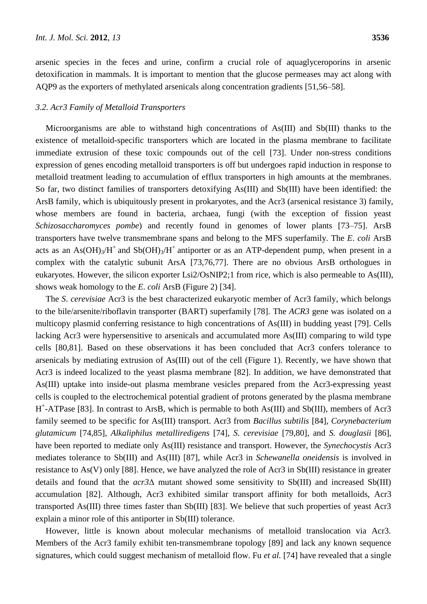arsenic species in the feces and urine, confirm a crucial role of aquaglyceroporins in arsenic detoxification in mammals. It is important to mention that the glucose permeases may act along with AQP9 as the exporters of methylated arsenicals along concentration gradients [51,56–58].

# *3.2. Acr3 Family of Metalloid Transporters*

Microorganisms are able to withstand high concentrations of As(III) and Sb(III) thanks to the existence of metalloid-specific transporters which are located in the plasma membrane to facilitate immediate extrusion of these toxic compounds out of the cell [73]. Under non-stress conditions expression of genes encoding metalloid transporters is off but undergoes rapid induction in response to metalloid treatment leading to accumulation of efflux transporters in high amounts at the membranes. So far, two distinct families of transporters detoxifying As(III) and Sb(III) have been identified: the ArsB family, which is ubiquitously present in prokaryotes, and the Acr3 (arsenical resistance 3) family, whose members are found in bacteria, archaea, fungi (with the exception of fission yeast *Schizosaccharomyces pombe*) and recently found in genomes of lower plants [73–75]. ArsB transporters have twelve transmembrane spans and belong to the MFS superfamily. The *E*. *coli* ArsB acts as an As(OH)<sub>3</sub>/H<sup>+</sup> and Sb(OH)<sub>3</sub>/H<sup>+</sup> antiporter or as an ATP-dependent pump, when present in a complex with the catalytic subunit ArsA [73,76,77]. There are no obvious ArsB orthologues in eukaryotes. However, the silicon exporter Lsi2/OsNIP2;1 from rice, which is also permeable to As(III), shows weak homology to the *E*. *coli* ArsB (Figure 2) [34].

The *S*. *cerevisiae* Acr3 is the best characterized eukaryotic member of Acr3 family, which belongs to the bile/arsenite/riboflavin transporter (BART) superfamily [78]. The *ACR3* gene was isolated on a multicopy plasmid conferring resistance to high concentrations of As(III) in budding yeast [79]. Cells lacking Acr3 were hypersensitive to arsenicals and accumulated more As(III) comparing to wild type cells [80,81]. Based on these observations it has been concluded that Acr3 confers tolerance to arsenicals by mediating extrusion of As(III) out of the cell (Figure 1). Recently, we have shown that Acr3 is indeed localized to the yeast plasma membrane [82]. In addition, we have demonstrated that As(III) uptake into inside-out plasma membrane vesicles prepared from the Acr3-expressing yeast cells is coupled to the electrochemical potential gradient of protons generated by the plasma membrane H + -ATPase [83]. In contrast to ArsB, which is permable to both As(III) and Sb(III), members of Acr3 family seemed to be specific for As(III) transport. Acr3 from *Bacillus subtilis* [84], *Corynebacterium glutamicum* [74,85], *Alkaliphilus metalliredigens* [74], *S*. *cerevisiae* [79,80], and *S. douglasii* [86], have been reported to mediate only As(III) resistance and transport. However, the *Synechocystis* Acr3 mediates tolerance to Sb(III) and As(III) [87], while Acr3 in *Schewanella oneidensis* is involved in resistance to As(V) only [88]. Hence, we have analyzed the role of Acr3 in Sb(III) resistance in greater details and found that the *acr3*Δ mutant showed some sensitivity to Sb(III) and increased Sb(III) accumulation [82]. Although, Acr3 exhibited similar transport affinity for both metalloids, Acr3 transported As(III) three times faster than Sb(III) [83]. We believe that such properties of yeast Acr3 explain a minor role of this antiporter in Sb(III) tolerance.

However, little is known about molecular mechanisms of metalloid translocation via Acr3. Members of the Acr3 family exhibit ten-transmembrane topology [89] and lack any known sequence signatures, which could suggest mechanism of metalloid flow. Fu *et al.* [74] have revealed that a single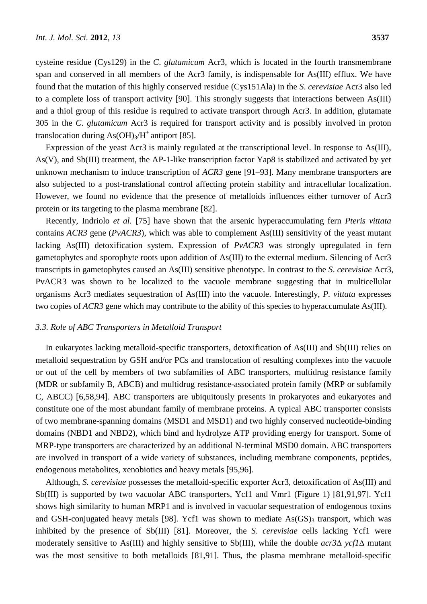cysteine residue (Cys129) in the *C*. *glutamicum* Acr3, which is located in the fourth transmembrane span and conserved in all members of the Acr3 family, is indispensable for As(III) efflux. We have found that the mutation of this highly conserved residue (Cys151Ala) in the *S*. *cerevisiae* Acr3 also led to a complete loss of transport activity [90]. This strongly suggests that interactions between As(III) and a thiol group of this residue is required to activate transport through Acr3. In addition, glutamate 305 in the *C*. *glutamicum* Acr3 is required for transport activity and is possibly involved in proton translocation during  $As(OH)_3/H^+$  antiport [85].

Expression of the yeast Acr3 is mainly regulated at the transcriptional level. In response to As(III), As(V), and Sb(III) treatment, the AP-1-like transcription factor Yap8 is stabilized and activated by yet unknown mechanism to induce transcription of *ACR3* gene [91–93]. Many membrane transporters are also subjected to a post-translational control affecting protein stability and intracellular localization. However, we found no evidence that the presence of metalloids influences either turnover of Acr3 protein or its targeting to the plasma membrane [82].

Recently, Indriolo *et al.* [75] have shown that the arsenic hyperaccumulating fern *Pteris vittata* contains *ACR3* gene (*PvACR3*), which was able to complement As(III) sensitivity of the yeast mutant lacking As(III) detoxification system. Expression of *PvACR3* was strongly upregulated in fern gametophytes and sporophyte roots upon addition of As(III) to the external medium. Silencing of Acr3 transcripts in gametophytes caused an As(III) sensitive phenotype. In contrast to the *S*. *cerevisiae* Acr3, PvACR3 was shown to be localized to the vacuole membrane suggesting that in multicellular organisms Acr3 mediates sequestration of As(III) into the vacuole. Interestingly, *P. vittata* expresses two copies of *ACR3* gene which may contribute to the ability of this species to hyperaccumulate As(III).

### *3.3. Role of ABC Transporters in Metalloid Transport*

In eukaryotes lacking metalloid-specific transporters, detoxification of As(III) and Sb(III) relies on metalloid sequestration by GSH and/or PCs and translocation of resulting complexes into the vacuole or out of the cell by members of two subfamilies of ABC transporters, multidrug resistance family (MDR or subfamily B, ABCB) and multidrug resistance-associated protein family (MRP or subfamily C, ABCC) [6,58,94]. ABC transporters are ubiquitously presents in prokaryotes and eukaryotes and constitute one of the most abundant family of membrane proteins. A typical ABC transporter consists of two membrane-spanning domains (MSD1 and MSD1) and two highly conserved nucleotide-binding domains (NBD1 and NBD2), which bind and hydrolyze ATP providing energy for transport. Some of MRP-type transporters are characterized by an additional N-terminal MSD0 domain. ABC transporters are involved in transport of a wide variety of substances, including membrane components, peptides, endogenous metabolites, xenobiotics and heavy metals [95,96].

Although, *S. cerevisiae* possesses the metalloid-specific exporter Acr3, detoxification of As(III) and Sb(III) is supported by two vacuolar ABC transporters, Ycf1 and Vmr1 (Figure 1) [81,91,97]. Ycf1 shows high similarity to human MRP1 and is involved in vacuolar sequestration of endogenous toxins and GSH-conjugated heavy metals [98]. Ycf1 was shown to mediate  $As(GS)$ <sub>3</sub> transport, which was inhibited by the presence of Sb(III) [81]. Moreover, the *S*. *cerevisiae* cells lacking Ycf1 were moderately sensitive to As(III) and highly sensitive to Sb(III), while the double  $acr3\Delta$   $vcf1\Delta$  mutant was the most sensitive to both metalloids [81,91]. Thus, the plasma membrane metalloid-specific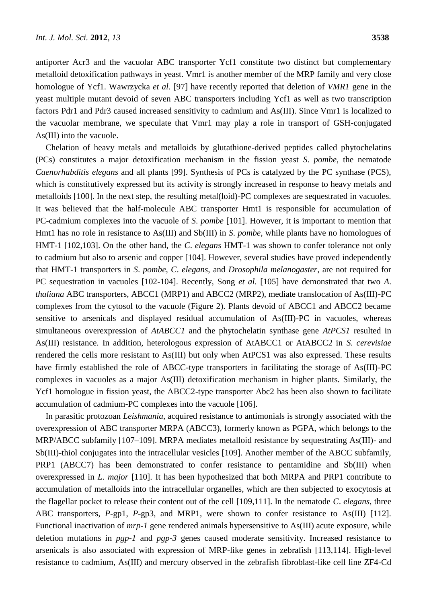antiporter Acr3 and the vacuolar ABC transporter Ycf1 constitute two distinct but complementary metalloid detoxification pathways in yeast. Vmr1 is another member of the MRP family and very close homologue of Ycf1. Wawrzycka *et al.* [97] have recently reported that deletion of *VMR1* gene in the yeast multiple mutant devoid of seven ABC transporters including Ycf1 as well as two transcription factors Pdr1 and Pdr3 caused increased sensitivity to cadmium and As(III). Since Vmr1 is localized to the vacuolar membrane, we speculate that Vmr1 may play a role in transport of GSH-conjugated As(III) into the vacuole.

Chelation of heavy metals and metalloids by glutathione-derived peptides called phytochelatins (PCs) constitutes a major detoxification mechanism in the fission yeast *S*. *pombe*, the nematode *Caenorhabditis elegans* and all plants [99]. Synthesis of PCs is catalyzed by the PC synthase (PCS), which is constitutively expressed but its activity is strongly increased in response to heavy metals and metalloids [100]. In the next step, the resulting metal(loid)-PC complexes are sequestrated in vacuoles. It was believed that the half-molecule ABC transporter Hmt1 is responsible for accumulation of PC-cadmium complexes into the vacuole of *S*. *pombe* [101]. However, it is important to mention that Hmt1 has no role in resistance to As(III) and Sb(III) in *S*. *pombe*, while plants have no homologues of HMT-1 [102,103]. On the other hand, the *C*. *elegans* HMT-1 was shown to confer tolerance not only to cadmium but also to arsenic and copper [104]. However, several studies have proved independently that HMT-1 transporters in *S*. *pombe*, *C*. *elegans*, and *Drosophila melanogaster*, are not required for PC sequestration in vacuoles [102-104]. Recently, Song *et al.* [105] have demonstrated that two *A*. *thaliana* ABC transporters, ABCC1 (MRP1) and ABCC2 (MRP2), mediate translocation of As(III)-PC complexes from the cytosol to the vacuole (Figure 2). Plants devoid of ABCC1 and ABCC2 became sensitive to arsenicals and displayed residual accumulation of As(III)-PC in vacuoles, whereas simultaneous overexpression of *AtABCC1* and the phytochelatin synthase gene *AtPCS1* resulted in As(III) resistance. In addition, heterologous expression of AtABCC1 or AtABCC2 in *S. cerevisiae* rendered the cells more resistant to As(III) but only when AtPCS1 was also expressed. These results have firmly established the role of ABCC-type transporters in facilitating the storage of As(III)-PC complexes in vacuoles as a major As(III) detoxification mechanism in higher plants. Similarly, the Ycf1 homologue in fission yeast, the ABCC2-type transporter Abc2 has been also shown to facilitate accumulation of cadmium-PC complexes into the vacuole [106].

In parasitic protozoan *Leishmania*, acquired resistance to antimonials is strongly associated with the overexpression of ABC transporter MRPA (ABCC3), formerly known as PGPA, which belongs to the MRP/ABCC subfamily [107–109]. MRPA mediates metalloid resistance by sequestrating As(III)- and Sb(III)-thiol conjugates into the intracellular vesicles [109]. Another member of the ABCC subfamily, PRP1 (ABCC7) has been demonstrated to confer resistance to pentamidine and Sb(III) when overexpressed in *L*. *major* [110]. It has been hypothesized that both MRPA and PRP1 contribute to accumulation of metalloids into the intracellular organelles, which are then subjected to exocytosis at the flagellar pocket to release their content out of the cell [109,111]. In the nematode *C*. *elegans*, three ABC transporters, *P*-gp1, *P*-gp3, and MRP1, were shown to confer resistance to As(III) [112]. Functional inactivation of *mrp-1* gene rendered animals hypersensitive to As(III) acute exposure, while deletion mutations in *pgp-1* and *pgp-3* genes caused moderate sensitivity. Increased resistance to arsenicals is also associated with expression of MRP-like genes in zebrafish [113,114]. High-level resistance to cadmium, As(III) and mercury observed in the zebrafish fibroblast-like cell line ZF4-Cd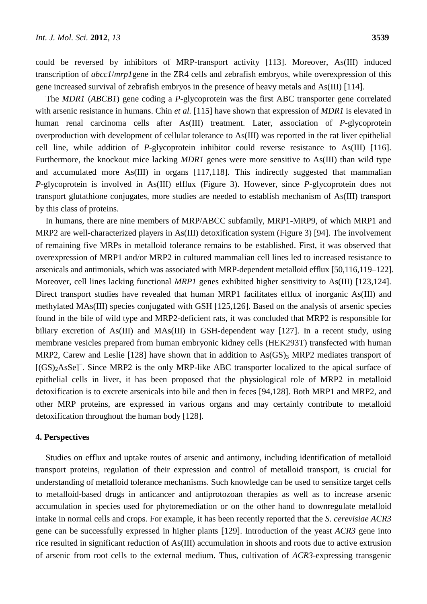could be reversed by inhibitors of MRP-transport activity [113]. Moreover, As(III) induced transcription of *abcc1*/*mrp1*gene in the ZR4 cells and zebrafish embryos, while overexpression of this gene increased survival of zebrafish embryos in the presence of heavy metals and As(III) [114].

The *MDR1* (*ABCB1*) gene coding a *P*-glycoprotein was the first ABC transporter gene correlated with arsenic resistance in humans. Chin *et al.* [115] have shown that expression of *MDR1* is elevated in human renal carcinoma cells after As(III) treatment. Later, association of *P*-glycoprotein overproduction with development of cellular tolerance to As(III) was reported in the rat liver epithelial cell line, while addition of *P*-glycoprotein inhibitor could reverse resistance to As(III) [116]. Furthermore, the knockout mice lacking *MDR1* genes were more sensitive to As(III) than wild type and accumulated more As(III) in organs [117,118]. This indirectly suggested that mammalian *P*-glycoprotein is involved in As(III) efflux (Figure 3). However, since *P*-glycoprotein does not transport glutathione conjugates, more studies are needed to establish mechanism of As(III) transport by this class of proteins.

In humans, there are nine members of MRP/ABCC subfamily, MRP1-MRP9, of which MRP1 and MRP2 are well-characterized players in As(III) detoxification system (Figure 3) [94]. The involvement of remaining five MRPs in metalloid tolerance remains to be established. First, it was observed that overexpression of MRP1 and/or MRP2 in cultured mammalian cell lines led to increased resistance to arsenicals and antimonials, which was associated with MRP-dependent metalloid efflux [50,116,119–122]. Moreover, cell lines lacking functional *MRP1* genes exhibited higher sensitivity to As(III) [123,124]. Direct transport studies have revealed that human MRP1 facilitates efflux of inorganic As(III) and methylated MAs(III) species conjugated with GSH [125,126]. Based on the analysis of arsenic species found in the bile of wild type and MRP2-deficient rats, it was concluded that MRP2 is responsible for biliary excretion of As(III) and MAs(III) in GSH-dependent way [127]. In a recent study, using membrane vesicles prepared from human embryonic kidney cells (HEK293T) transfected with human MRP2, Carew and Leslie [128] have shown that in addition to  $As(GS)_{3}$  MRP2 mediates transport of [(GS)<sub>2</sub>AsSe]<sup>-</sup>. Since MRP2 is the only MRP-like ABC transporter localized to the apical surface of epithelial cells in liver, it has been proposed that the physiological role of MRP2 in metalloid detoxification is to excrete arsenicals into bile and then in feces [94,128]. Both MRP1 and MRP2, and other MRP proteins, are expressed in various organs and may certainly contribute to metalloid detoxification throughout the human body [128].

## **4. Perspectives**

Studies on efflux and uptake routes of arsenic and antimony, including identification of metalloid transport proteins, regulation of their expression and control of metalloid transport, is crucial for understanding of metalloid tolerance mechanisms. Such knowledge can be used to sensitize target cells to metalloid-based drugs in anticancer and antiprotozoan therapies as well as to increase arsenic accumulation in species used for phytoremediation or on the other hand to downregulate metalloid intake in normal cells and crops. For example, it has been recently reported that the *S*. *cerevisiae ACR3* gene can be successfully expressed in higher plants [129]. Introduction of the yeast *ACR3* gene into rice resulted in significant reduction of As(III) accumulation in shoots and roots due to active extrusion of arsenic from root cells to the external medium. Thus, cultivation of *ACR3*-expressing transgenic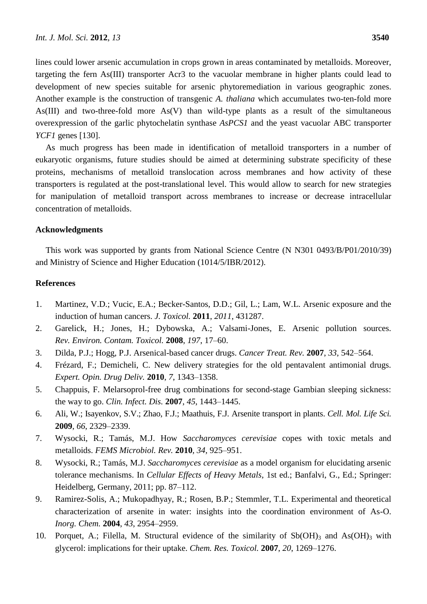lines could lower arsenic accumulation in crops grown in areas contaminated by metalloids. Moreover, targeting the fern As(III) transporter Acr3 to the vacuolar membrane in higher plants could lead to development of new species suitable for arsenic phytoremediation in various geographic zones. Another example is the construction of transgenic *A. thaliana* which accumulates two-ten-fold more As(III) and two-three-fold more As(V) than wild-type plants as a result of the simultaneous overexpression of the garlic phytochelatin synthase *AsPCS1* and the yeast vacuolar ABC transporter *YCF1* genes [130].

As much progress has been made in identification of metalloid transporters in a number of eukaryotic organisms, future studies should be aimed at determining substrate specificity of these proteins, mechanisms of metalloid translocation across membranes and how activity of these transporters is regulated at the post-translational level. This would allow to search for new strategies for manipulation of metalloid transport across membranes to increase or decrease intracellular concentration of metalloids.

#### **Acknowledgments**

This work was supported by grants from National Science Centre (N N301 0493/B/P01/2010/39) and Ministry of Science and Higher Education (1014/5/IBR/2012).

## **References**

- 1. Martinez, V.D.; Vucic, E.A.; Becker-Santos, D.D.; Gil, L.; Lam, W.L. Arsenic exposure and the induction of human cancers. *J. Toxicol.* **2011**, *2011*, 431287.
- 2. Garelick, H.; Jones, H.; Dybowska, A.; Valsami-Jones, E. Arsenic pollution sources. *Rev. Environ. Contam. Toxicol.* **2008**, *197*, 17–60.
- 3. Dilda, P.J.; Hogg, P.J. Arsenical-based cancer drugs. *Cancer Treat. Rev.* **2007**, *33*, 542–564.
- 4. Frézard, F.; Demicheli, C. New delivery strategies for the old pentavalent antimonial drugs. *Expert. Opin. Drug Deliv.* **2010**, *7*, 1343–1358.
- 5. Chappuis, F. Melarsoprol-free drug combinations for second-stage Gambian sleeping sickness: the way to go. *Clin. Infect. Dis.* **2007**, *45*, 1443–1445.
- 6. Ali, W.; Isayenkov, S.V.; Zhao, F.J.; Maathuis, F.J. Arsenite transport in plants. *Cell. Mol. Life Sci.* **2009**, *66*, 2329–2339.
- 7. Wysocki, R.; Tamás, M.J. How *Saccharomyces cerevisiae* copes with toxic metals and metalloids. *FEMS Microbiol. Rev.* **2010**, *34*, 925–951.
- 8. Wysocki, R.; Tamás, M.J. *Saccharomyces cerevisiae* as a model organism for elucidating arsenic tolerance mechanisms. In *Cellular Effects of Heavy Metals*, 1st ed.; Banfalvi, G., Ed.; Springer: Heidelberg, Germany, 2011; pp. 87–112.
- 9. Ramirez-Solis, A.; Mukopadhyay, R.; Rosen, B.P.; Stemmler, T.L. Experimental and theoretical characterization of arsenite in water: insights into the coordination environment of As-O. *Inorg. Chem.* **2004**, *43*, 2954–2959.
- 10. Porquet, A.; Filella, M. Structural evidence of the similarity of  $Sb(OH)_3$  and As(OH)<sub>3</sub> with glycerol: implications for their uptake. *Chem. Res. Toxicol.* **2007**, *20*, 1269–1276.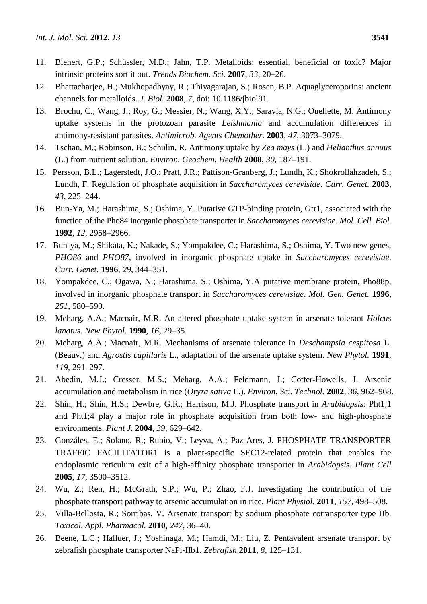- 11. Bienert, G.P.; Schüssler, M.D.; Jahn, T.P. Metalloids: essential, beneficial or toxic? Major intrinsic proteins sort it out. *Trends Biochem. Sci.* **2007**, *33*, 20–26.
- 12. Bhattacharjee, H.; Mukhopadhyay, R.; Thiyagarajan, S.; Rosen, B.P. Aquaglyceroporins: ancient channels for metalloids. *J. Biol.* **2008**, *7*, doi: 10.1186/jbiol91.
- 13. Brochu, C.; Wang, J.; Roy, G.; Messier, N.; Wang, X.Y.; Saravia, N.G.; Ouellette, M. Antimony uptake systems in the protozoan parasite *Leishmania* and accumulation differences in antimony-resistant parasites. *Antimicrob. Agents Chemother.* **2003**, *47*, 3073–3079.
- 14. Tschan, M.; Robinson, B.; Schulin, R. Antimony uptake by *Zea mays* (L.) and *Helianthus annuus* (L.) from nutrient solution. *Environ. Geochem. Health* **2008**, *30*, 187–191.
- 15. Persson, B.L.; Lagerstedt, J.O.; Pratt, J.R.; Pattison-Granberg, J.; Lundh, K.; Shokrollahzadeh, S.; Lundh, F. Regulation of phosphate acquisition in *Saccharomyces cerevisiae*. *Curr. Genet.* **2003**, *43*, 225–244.
- 16. Bun-Ya, M.; Harashima, S.; Oshima, Y. Putative GTP-binding protein, Gtr1, associated with the function of the Pho84 inorganic phosphate transporter in *Saccharomyces cerevisiae*. *Mol. Cell. Biol.* **1992**, *12*, 2958–2966.
- 17. Bun-ya, M.; Shikata, K.; Nakade, S.; Yompakdee, C.; Harashima, S.; Oshima, Y. Two new genes, *PHO86* and *PHO87*, involved in inorganic phosphate uptake in *Saccharomyces cerevisiae*. *Curr. Genet.* **1996**, *29*, 344–351.
- 18. Yompakdee, C.; Ogawa, N.; Harashima, S.; Oshima, Y.A putative membrane protein, Pho88p, involved in inorganic phosphate transport in *Saccharomyces cerevisiae*. *Mol. Gen. Genet.* **1996**, *251*, 580–590.
- 19. Meharg, A.A.; Macnair, M.R. An altered phosphate uptake system in arsenate tolerant *Holcus lanatus*. *New Phytol.* **1990**, *16*, 29–35.
- 20. Meharg, A.A.; Macnair, M.R. Mechanisms of arsenate tolerance in *Deschampsia cespitosa* L. (Beauv.) and *Agrostis capillaris* L., adaptation of the arsenate uptake system. *New Phytol.* **1991**, *119*, 291–297.
- 21. Abedin, M.J.; Cresser, M.S.; Meharg, A.A.; Feldmann, J.; Cotter-Howells, J. Arsenic accumulation and metabolism in rice (*Oryza sativa* L.). *Environ. Sci. Technol.* **2002**, *36*, 962–968.
- 22. Shin, H.; Shin, H.S.; Dewbre, G.R.; Harrison, M.J. Phosphate transport in *Arabidopsis*: Pht1;1 and Pht1;4 play a major role in phosphate acquisition from both low- and high-phosphate environments. *Plant J.* **2004**, *39*, 629–642.
- 23. Gonzáles, E.; Solano, R.; Rubio, V.; Leyva, A.; Paz-Ares, J. PHOSPHATE TRANSPORTER TRAFFIC FACILITATOR1 is a plant-specific SEC12-related protein that enables the endoplasmic reticulum exit of a high-affinity phosphate transporter in *Arabidopsis*. *Plant Cell* **2005**, *17*, 3500–3512.
- 24. Wu, Z.; Ren, H.; McGrath, S.P.; Wu, P.; Zhao, F.J. Investigating the contribution of the phosphate transport pathway to arsenic accumulation in rice. *Plant Physiol.* **2011**, *157*, 498–508.
- 25. Villa-Bellosta, R.; Sorribas, V. Arsenate transport by sodium phosphate cotransporter type IIb. *Toxicol. Appl. Pharmacol.* **2010**, *247*, 36–40.
- 26. Beene, L.C.; Halluer, J.; Yoshinaga, M.; Hamdi, M.; Liu, Z. Pentavalent arsenate transport by zebrafish phosphate transporter NaPi-IIb1. *Zebrafish* **2011**, *8*, 125–131.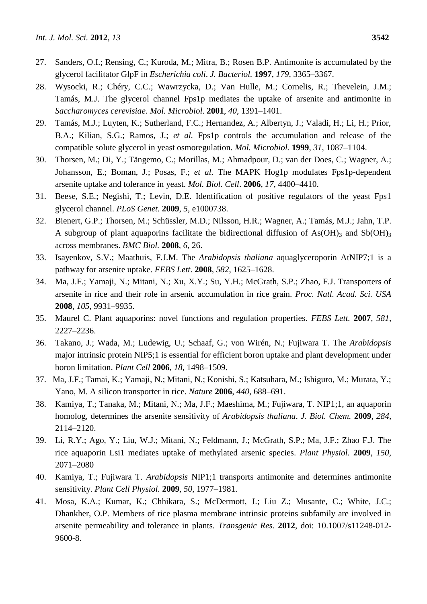- 27. Sanders, O.I.; Rensing, C.; Kuroda, M.; Mitra, B.; Rosen B.P. Antimonite is accumulated by the glycerol facilitator GlpF in *Escherichia coli*. *J. Bacteriol.* **1997**, *179*, 3365–3367.
- 28. Wysocki, R.; Chéry, C.C.; Wawrzycka, D.; Van Hulle, M.; Cornelis, R.; Thevelein, J.M.; Tamás, M.J. The glycerol channel Fps1p mediates the uptake of arsenite and antimonite in *Saccharomyces cerevisiae*. *Mol. Microbiol*. **2001**, *40*, 1391–1401.
- 29. Tamás, M.J.; Luyten, K.; Sutherland, F.C.; Hernandez, A.; Albertyn, J.; Valadi, H.; Li, H.; Prior, B.A.; Kilian, S.G.; Ramos, J.; *et al.* Fps1p controls the accumulation and release of the compatible solute glycerol in yeast osmoregulation. *Mol. Microbiol.* **1999**, *31*, 1087–1104.
- 30. Thorsen, M.; Di, Y.; Tängemo, C.; Morillas, M.; Ahmadpour, D.; van der Does, C.; Wagner, A.; Johansson, E.; Boman, J.; Posas, F.; *et al.* The MAPK Hog1p modulates Fps1p-dependent arsenite uptake and tolerance in yeast. *Mol. Biol. Cell*. **2006**, *17*, 4400–4410.
- 31. Beese, S.E.; Negishi, T.; Levin, D.E. Identification of positive regulators of the yeast Fps1 glycerol channel. *PLoS Genet.* **2009**, *5*, e1000738.
- 32. Bienert, G.P.; Thorsen, M.; Schüssler, M.D.; Nilsson, H.R.; Wagner, A.; Tamás, M.J.; Jahn, T.P. A subgroup of plant aquaporins facilitate the bidirectional diffusion of As(OH)<sub>3</sub> and Sb(OH)<sub>3</sub> across membranes. *BMC Biol.* **2008**, *6*, 26.
- 33. Isayenkov, S.V.; Maathuis, F.J.M. The *Arabidopsis thaliana* aquaglyceroporin AtNIP7;1 is a pathway for arsenite uptake. *FEBS Lett*. **2008**, *582*, 1625–1628.
- 34. Ma, J.F.; Yamaji, N.; Mitani, N.; Xu, X.Y.; Su, Y.H.; McGrath, S.P.; Zhao, F.J. Transporters of arsenite in rice and their role in arsenic accumulation in rice grain. *Proc. Natl. Acad. Sci. USA* **2008**, *105*, 9931–9935.
- 35. Maurel C. Plant aquaporins: novel functions and regulation properties. *FEBS Lett.* **2007**, *581*, 2227–2236.
- 36. Takano, J.; Wada, M.; Ludewig, U.; Schaaf, G.; von Wirén, N.; Fujiwara T. The *Arabidopsis* major intrinsic protein NIP5;1 is essential for efficient boron uptake and plant development under boron limitation. *Plant Cell* **2006**, *18*, 1498–1509.
- 37. Ma, J.F.; Tamai, K.; Yamaji, N.; Mitani, N.; Konishi, S.; Katsuhara, M.; Ishiguro, M.; Murata, Y.; Yano, M. A silicon transporter in rice. *Nature* **2006**, *440*, 688–691.
- 38. Kamiya, T.; Tanaka, M.; Mitani, N.; Ma, J.F.; Maeshima, M.; Fujiwara, T. NIP1;1, an aquaporin homolog, determines the arsenite sensitivity of *Arabidopsis thaliana*. *J. Biol. Chem.* **2009**, *284*, 2114–2120.
- 39. Li, R.Y.; Ago, Y.; Liu, W.J.; Mitani, N.; Feldmann, J.; McGrath, S.P.; Ma, J.F.; Zhao F.J. The rice aquaporin Lsi1 mediates uptake of methylated arsenic species. *Plant Physiol.* **2009**, *150*, 2071–2080
- 40. Kamiya, T.; Fujiwara T. *Arabidopsis* NIP1;1 transports antimonite and determines antimonite sensitivity. *Plant Cell Physiol.* **2009**, *50*, 1977–1981.
- 41. Mosa, K.A.; Kumar, K.; Chhikara, S.; McDermott, J.; Liu Z.; Musante, C.; White, J.C.; Dhankher, O.P. Members of rice plasma membrane intrinsic proteins subfamily are involved in arsenite permeability and tolerance in plants. *Transgenic Res.* **2012**, doi: 10.1007/s11248-012- 9600-8.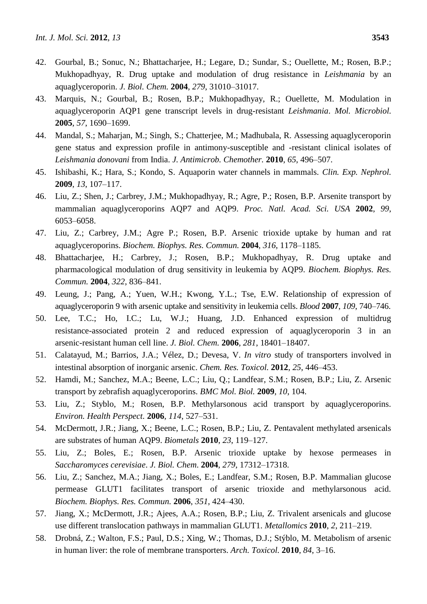- 42. Gourbal, B.; Sonuc, N.; Bhattacharjee, H.; Legare, D.; Sundar, S.; Ouellette, M.; Rosen, B.P.; Mukhopadhyay, R. Drug uptake and modulation of drug resistance in *Leishmania* by an aquaglyceroporin. *J. Biol. Chem.* **2004**, *279*, 31010–31017.
- 43. Marquis, N.; Gourbal, B.; Rosen, B.P.; Mukhopadhyay, R.; Ouellette, M. Modulation in aquaglyceroporin AQP1 gene transcript levels in drug-resistant *Leishmania*. *Mol. Microbiol.* **2005**, *57*, 1690–1699.
- 44. Mandal, S.; Maharjan, M.; Singh, S.; Chatterjee, M.; Madhubala, R. Assessing aquaglyceroporin gene status and expression profile in antimony-susceptible and -resistant clinical isolates of *Leishmania donovani* from India. *J. Antimicrob. Chemother.* **2010**, *65*, 496–507.
- 45. Ishibashi, K.; Hara, S.; Kondo, S. Aquaporin water channels in mammals. *Clin. Exp. Nephrol.* **2009**, *13*, 107–117.
- 46. Liu, Z.; Shen, J.; Carbrey, J.M.; Mukhopadhyay, R.; Agre, P.; Rosen, B.P. Arsenite transport by mammalian aquaglyceroporins AQP7 and AQP9. *Proc. Natl. Acad. Sci. USA* **2002**, *99*, 6053–6058.
- 47. Liu, Z.; Carbrey, J.M.; Agre P.; Rosen, B.P. Arsenic trioxide uptake by human and rat aquaglyceroporins. *Biochem. Biophys. Res. Commun.* **2004**, *316*, 1178–1185.
- 48. Bhattacharjee, H.; Carbrey, J.; Rosen, B.P.; Mukhopadhyay, R. Drug uptake and pharmacological modulation of drug sensitivity in leukemia by AQP9. *Biochem. Biophys. Res. Commun.* **2004**, *322*, 836–841.
- 49. Leung, J.; Pang, A.; Yuen, W.H.; Kwong, Y.L.; Tse, E.W. Relationship of expression of aquaglyceroporin 9 with arsenic uptake and sensitivity in leukemia cells. *Blood* **2007**, *109*, 740–746.
- 50. Lee, T.C.; Ho, I.C.; Lu, W.J.; Huang, J.D. Enhanced expression of multidrug resistance-associated protein 2 and reduced expression of aquaglyceroporin 3 in an arsenic-resistant human cell line. *J. Biol. Chem.* **2006**, *281*, 18401–18407.
- 51. Calatayud, M.; Barrios, J.A.; Vélez, D.; Devesa, V. *In vitro* study of transporters involved in intestinal absorption of inorganic arsenic. *Chem. Res. Toxicol.* **2012**, *25*, 446–453.
- 52. Hamdi, M.; Sanchez, M.A.; Beene, L.C.; Liu, Q.; Landfear, S.M.; Rosen, B.P.; Liu, Z. Arsenic transport by zebrafish aquaglyceroporins. *BMC Mol. Biol.* **2009**, *10*, 104.
- 53. Liu, Z.; Styblo, M.; Rosen, B.P. Methylarsonous acid transport by aquaglyceroporins. *Environ. Health Perspect.* **2006**, *114*, 527–531.
- 54. McDermott, J.R.; Jiang, X.; Beene, L.C.; Rosen, B.P.; Liu, Z. Pentavalent methylated arsenicals are substrates of human AQP9. *Biometals* **2010**, *23*, 119–127.
- 55. Liu, Z.; Boles, E.; Rosen, B.P. Arsenic trioxide uptake by hexose permeases in *Saccharomyces cerevisiae*. *J. Biol. Chem*. **2004**, *279*, 17312–17318.
- 56. Liu, Z.; Sanchez, M.A.; Jiang, X.; Boles, E.; Landfear, S.M.; Rosen, B.P. Mammalian glucose permease GLUT1 facilitates transport of arsenic trioxide and methylarsonous acid. *Biochem. Biophys. Res. Commun.* **2006**, *351*, 424–430.
- 57. Jiang, X.; McDermott, J.R.; Ajees, A.A.; Rosen, B.P.; Liu, Z. Trivalent arsenicals and glucose use different translocation pathways in mammalian GLUT1. *Metallomics* **2010**, *2*, 211–219.
- 58. Drobná, Z.; Walton, F.S.; Paul, D.S.; Xing, W.; Thomas, D.J.; Stýblo, M. Metabolism of arsenic in human liver: the role of membrane transporters. *Arch. Toxicol.* **2010**, *84*, 3–16.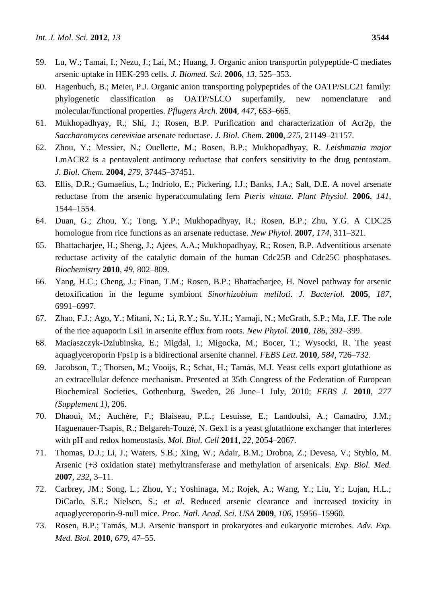- 59. Lu, W.; Tamai, I.; Nezu, J.; Lai, M.; Huang, J. Organic anion transportin polypeptide-C mediates arsenic uptake in HEK-293 cells. *J. Biomed. Sci.* **2006**, *13*, 525–353.
- 60. Hagenbuch, B.; Meier, P.J. Organic anion transporting polypeptides of the OATP/SLC21 family: phylogenetic classification as OATP/SLCO superfamily, new nomenclature and molecular/functional properties. *Pflugers Arch.* **2004**, *447*, 653–665.
- 61. Mukhopadhyay, R.; Shi, J.; Rosen, B.P. Purification and characterization of Acr2p, the *Saccharomyces cerevisiae* arsenate reductase. *J. Biol. Chem.* **2000**, *275*, 21149–21157.
- 62. Zhou, Y.; Messier, N.; Ouellette, M.; Rosen, B.P.; Mukhopadhyay, R. *Leishmania major* LmACR2 is a pentavalent antimony reductase that confers sensitivity to the drug pentostam. *J. Biol. Chem.* **2004**, *279*, 37445–37451.
- 63. Ellis, D.R.; Gumaelius, L.; Indriolo, E.; Pickering, I.J.; Banks, J.A.; Salt, D.E. A novel arsenate reductase from the arsenic hyperaccumulating fern *Pteris vittata*. *Plant Physiol.* **2006**, *141*, 1544–1554.
- 64. Duan, G.; Zhou, Y.; Tong, Y.P.; Mukhopadhyay, R.; Rosen, B.P.; Zhu, Y.G. A CDC25 homologue from rice functions as an arsenate reductase. *New Phytol.* **2007**, *174*, 311–321.
- 65. Bhattacharjee, H.; Sheng, J.; Ajees, A.A.; Mukhopadhyay, R.; Rosen, B.P. Adventitious arsenate reductase activity of the catalytic domain of the human Cdc25B and Cdc25C phosphatases. *Biochemistry* **2010**, *49*, 802–809.
- 66. Yang, H.C.; Cheng, J.; Finan, T.M.; Rosen, B.P.; Bhattacharjee, H. Novel pathway for arsenic detoxification in the legume symbiont *Sinorhizobium meliloti*. *J. Bacteriol.* **2005**, *187*, 6991–6997.
- 67. Zhao, F.J.; Ago, Y.; Mitani, N.; Li, R.Y.; Su, Y.H.; Yamaji, N.; McGrath, S.P.; Ma, J.F. The role of the rice aquaporin Lsi1 in arsenite efflux from roots. *New Phytol.* **2010**, *186*, 392–399.
- 68. Maciaszczyk-Dziubinska, E.; Migdal, I.; Migocka, M.; Bocer, T.; Wysocki, R. The yeast aquaglyceroporin Fps1p is a bidirectional arsenite channel. *FEBS Lett.* **2010**, *584*, 726–732.
- 69. Jacobson, T.; Thorsen, M.; Vooijs, R.; Schat, H.; Tamás, M.J. Yeast cells export glutathione as an extracellular defence mechanism. Presented at 35th Congress of the Federation of European Biochemical Societies, Gothenburg, Sweden, 26 June–1 July, 2010; *FEBS J.* **2010**, *277 (Supplement 1)*, 206.
- 70. Dhaoui, M.; Auchère, F.; Blaiseau, P.L.; Lesuisse, E.; Landoulsi, A.; Camadro, J.M.; Haguenauer-Tsapis, R.; Belgareh-Touzé, N. Gex1 is a yeast glutathione exchanger that interferes with pH and redox homeostasis. *Mol. Biol. Cell* **2011**, *22*, 2054–2067.
- 71. Thomas, D.J.; Li, J.; Waters, S.B.; Xing, W.; Adair, B.M.; Drobna, Z.; Devesa, V.; Styblo, M. Arsenic (+3 oxidation state) methyltransferase and methylation of arsenicals. *Exp. Biol. Med.* **2007**, *232*, 3–11.
- 72. Carbrey, JM.; Song, L.; Zhou, Y.; Yoshinaga, M.; Rojek, A.; Wang, Y.; Liu, Y.; Lujan, H.L.; DiCarlo, S.E.; Nielsen, S.; *et al.* Reduced arsenic clearance and increased toxicity in aquaglyceroporin-9-null mice. *Proc. Natl. Acad. Sci. USA* **2009**, *106*, 15956–15960.
- 73. Rosen, B.P.; Tamás, M.J. Arsenic transport in prokaryotes and eukaryotic microbes. *Adv. Exp. Med. Biol.* **2010**, *679*, 47–55.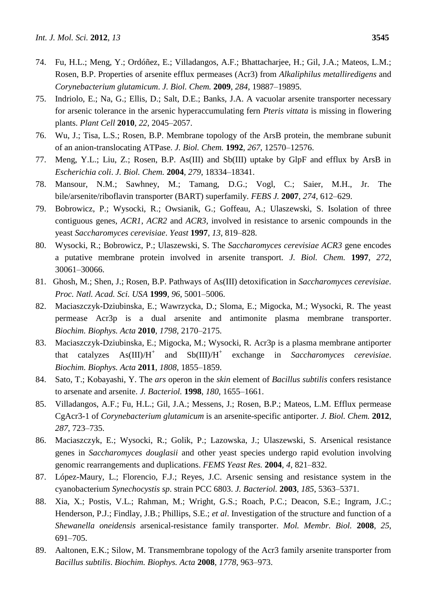- 74. Fu, H.L.; Meng, Y.; Ordóñez, E.; Villadangos, A.F.; Bhattacharjee, H.; Gil, J.A.; Mateos, L.M.; Rosen, B.P. Properties of arsenite efflux permeases (Acr3) from *Alkaliphilus metalliredigens* and *Corynebacterium glutamicum*. *J. Biol. Chem.* **2009**, *284*, 19887–19895.
- 75. Indriolo, E.; Na, G.; Ellis, D.; Salt, D.E.; Banks, J.A. A vacuolar arsenite transporter necessary for arsenic tolerance in the arsenic hyperaccumulating fern *Pteris vittata* is missing in flowering plants. *Plant Cell* **2010**, *22*, 2045–2057.
- 76. Wu, J.; Tisa, L.S.; Rosen, B.P. Membrane topology of the ArsB protein, the membrane subunit of an anion-translocating ATPase. *J. Biol. Chem.* **1992**, *267*, 12570–12576.
- 77. Meng, Y.L.; Liu, Z.; Rosen, B.P. As(III) and Sb(III) uptake by GlpF and efflux by ArsB in *Escherichia coli*. *J. Biol. Chem.* **2004**, *279*, 18334–18341.
- 78. Mansour, N.M.; Sawhney, M.; Tamang, D.G.; Vogl, C.; Saier, M.H., Jr. The bile/arsenite/riboflavin transporter (BART) superfamily. *FEBS J.* **2007**, *274*, 612–629.
- 79. Bobrowicz, P.; Wysocki, R.; Owsianik, G.; Goffeau, A.; Ulaszewski, S. Isolation of three contiguous genes, *ACR1*, *ACR2* and *ACR3*, involved in resistance to arsenic compounds in the yeast *Saccharomyces cerevisiae*. *Yeast* **1997**, *13*, 819–828.
- 80. Wysocki, R.; Bobrowicz, P.; Ulaszewski, S. The *Saccharomyces cerevisiae ACR3* gene encodes a putative membrane protein involved in arsenite transport. *J. Biol. Chem.* **1997**, *272*, 30061–30066.
- 81. Ghosh, M.; Shen, J.; Rosen, B.P. Pathways of As(III) detoxification in *Saccharomyces cerevisiae*. *Proc. Natl. Acad. Sci. USA* **1999**, *96*, 5001–5006.
- 82. Maciaszczyk-Dziubinska, E.; Wawrzycka, D.; Sloma, E.; Migocka, M.; Wysocki, R. The yeast permease Acr3p is a dual arsenite and antimonite plasma membrane transporter. *Biochim. Biophys. Acta* **2010**, *1798*, 2170–2175.
- 83. Maciaszczyk-Dziubinska, E.; Migocka, M.; Wysocki, R. Acr3p is a plasma membrane antiporter that catalyzes  $\text{As(III)/H}^+$ and  $Sb(III)/H^+$ exchange in *Saccharomyces cerevisiae*. *Biochim. Biophys. Acta* **2011**, *1808*, 1855–1859.
- 84. Sato, T.; Kobayashi, Y. The *ars* operon in the *skin* element of *Bacillus subtilis* confers resistance to arsenate and arsenite. *J. Bacteriol.* **1998**, *180*, 1655–1661.
- 85. Villadangos, A.F.; Fu, H.L.; Gil, J.A.; Messens, J.; Rosen, B.P.; Mateos, L.M. Efflux permease CgAcr3-1 of *Corynebacterium glutamicum* is an arsenite-specific antiporter. *J. Biol. Chem.* **2012**, *287*, 723–735.
- 86. Maciaszczyk, E.; Wysocki, R.; Golik, P.; Lazowska, J.; Ulaszewski, S. Arsenical resistance genes in *Saccharomyces douglasii* and other yeast species undergo rapid evolution involving genomic rearrangements and duplications. *FEMS Yeast Res.* **2004**, *4*, 821–832.
- 87. López-Maury, L.; Florencio, F.J.; Reyes, J.C. Arsenic sensing and resistance system in the cyanobacterium *Synechocystis sp*. strain PCC 6803. *J. Bacteriol.* **2003**, *185*, 5363–5371.
- 88. Xia, X.; Postis, V.L.; Rahman, M.; Wright, G.S.; Roach, P.C.; Deacon, S.E.; Ingram, J.C.; Henderson, P.J.; Findlay, J.B.; Phillips, S.E.; *et al*. Investigation of the structure and function of a *Shewanella oneidensis* arsenical-resistance family transporter. *Mol. Membr. Biol.* **2008**, *25*, 691–705.
- 89. Aaltonen, E.K.; Silow, M. Transmembrane topology of the Acr3 family arsenite transporter from *Bacillus subtilis*. *Biochim. Biophys. Acta* **2008**, *1778*, 963–973.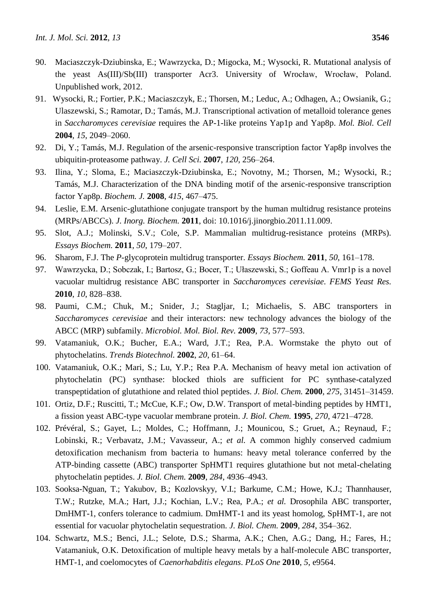- 90. Maciaszczyk-Dziubinska, E.; Wawrzycka, D.; Migocka, M.; Wysocki, R. Mutational analysis of the yeast As(III)/Sb(III) transporter Acr3. University of Wrocław, Wrocław, Poland. Unpublished work, 2012.
- 91. Wysocki, R.; Fortier, P.K.; Maciaszczyk, E.; Thorsen, M.; Leduc, A.; Odhagen, A.; Owsianik, G.; Ulaszewski, S.; Ramotar, D.; Tamás, M.J. Transcriptional activation of metalloid tolerance genes in *Saccharomyces cerevisiae* requires the AP-1-like proteins Yap1p and Yap8p. *Mol. Biol. Cell* **2004**, *15*, 2049–2060.
- 92. Di, Y.; Tamás, M.J. Regulation of the arsenic-responsive transcription factor Yap8p involves the ubiquitin-proteasome pathway. *J. Cell Sci.* **2007**, *120*, 256–264.
- 93. Ilina, Y.; Sloma, E.; Maciaszczyk-Dziubinska, E.; Novotny, M.; Thorsen, M.; Wysocki, R.; Tamás, M.J. Characterization of the DNA binding motif of the arsenic-responsive transcription factor Yap8p. *Biochem. J.* **2008**, *415*, 467–475.
- 94. Leslie, E.M. Arsenic-glutathione conjugate transport by the human multidrug resistance proteins (MRPs/ABCCs). *J. Inorg. Biochem.* **2011**, doi: 10.1016/j.jinorgbio.2011.11.009.
- 95. Slot, A.J.; Molinski, S.V.; Cole, S.P. Mammalian multidrug-resistance proteins (MRPs). *Essays Biochem.* **2011**, *50*, 179–207.
- 96. Sharom, F.J. The *P*-glycoprotein multidrug transporter. *Essays Biochem.* **2011**, *50*, 161–178.
- 97. Wawrzycka, D.; Sobczak, I.; Bartosz, G.; Bocer, T.; Ułaszewski, S.; Goffeau A. Vmr1p is a novel vacuolar multidrug resistance ABC transporter in *Saccharomyces cerevisiae*. *FEMS Yeast Res.* **2010**, *10*, 828–838.
- 98. Paumi, C.M.; Chuk, M.; Snider, J.; Stagljar, I.; Michaelis, S. ABC transporters in *Saccharomyces cerevisiae* and their interactors: new technology advances the biology of the ABCC (MRP) subfamily. *Microbiol. Mol. Biol. Rev.* **2009**, *73*, 577–593.
- 99. Vatamaniuk, O.K.; Bucher, E.A.; Ward, J.T.; Rea, P.A. Wormstake the phyto out of phytochelatins. *Trends Biotechnol.* **2002**, *20*, 61–64.
- 100. Vatamaniuk, O.K.; Mari, S.; Lu, Y.P.; Rea P.A. Mechanism of heavy metal ion activation of phytochelatin (PC) synthase: blocked thiols are sufficient for PC synthase-catalyzed transpeptidation of glutathione and related thiol peptides. *J. Biol. Chem.* **2000**, *275*, 31451–31459.
- 101. Ortiz, D.F.; Ruscitti, T.; McCue, K.F.; Ow, D.W. Transport of metal-binding peptides by HMT1, a fission yeast ABC-type vacuolar membrane protein. *J. Biol. Chem.* **1995**, *270*, 4721–4728.
- 102. Prévéral, S.; Gayet, L.; Moldes, C.; Hoffmann, J.; Mounicou, S.; Gruet, A.; Reynaud, F.; Lobinski, R.; Verbavatz, J.M.; Vavasseur, A.; *et al.* A common highly conserved cadmium detoxification mechanism from bacteria to humans: heavy metal tolerance conferred by the ATP-binding cassette (ABC) transporter SpHMT1 requires glutathione but not metal-chelating phytochelatin peptides. *J. Biol. Chem.* **2009**, *284*, 4936–4943.
- 103. Sooksa-Nguan, T.; Yakubov, B.; Kozlovskyy, V.I.; Barkume, C.M.; Howe, K.J.; Thannhauser, T.W.; Rutzke, M.A.; Hart, J.J.; Kochian, L.V.; Rea, P.A.; *et al.* Drosophila ABC transporter, DmHMT-1, confers tolerance to cadmium. DmHMT-1 and its yeast homolog, SpHMT-1, are not essential for vacuolar phytochelatin sequestration. *J. Biol. Chem.* **2009**, *284*, 354–362.
- 104. Schwartz, M.S.; Benci, J.L.; Selote, D.S.; Sharma, A.K.; Chen, A.G.; Dang, H.; Fares, H.; Vatamaniuk, O.K. Detoxification of multiple heavy metals by a half-molecule ABC transporter, HMT-1, and coelomocytes of *Caenorhabditis elegans*. *PLoS One* **2010**, *5*, e9564.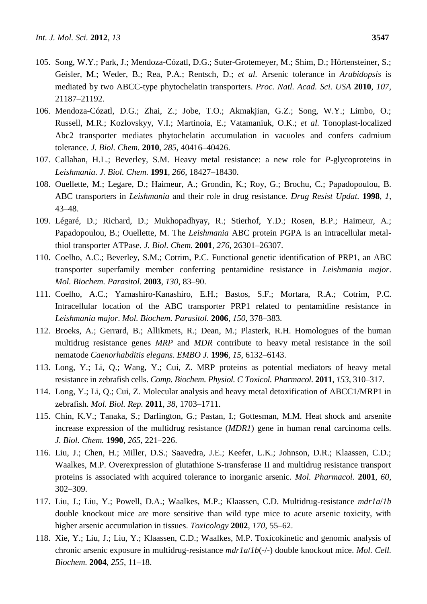- 105. Song, W.Y.; Park, J.; Mendoza-Cózatl, D.G.; Suter-Grotemeyer, M.; Shim, D.; Hörtensteiner, S.; Geisler, M.; Weder, B.; Rea, P.A.; Rentsch, D.; *et al.* Arsenic tolerance in *Arabidopsis* is mediated by two ABCC-type phytochelatin transporters. *Proc. Natl. Acad. Sci. USA* **2010**, *107*, 21187–21192.
- 106. Mendoza-Cózatl, D.G.; Zhai, Z.; Jobe, T.O.; Akmakjian, G.Z.; Song, W.Y.; Limbo, O.; Russell, M.R.; Kozlovskyy, V.I.; Martinoia, E.; Vatamaniuk, O.K.; *et al.* Tonoplast-localized Abc2 transporter mediates phytochelatin accumulation in vacuoles and confers cadmium tolerance. *J. Biol. Chem.* **2010**, *285*, 40416–40426.
- 107. Callahan, H.L.; Beverley, S.M. Heavy metal resistance: a new role for *P*-glycoproteins in *Leishmania*. *J. Biol. Chem.* **1991**, *266*, 18427–18430.
- 108. Ouellette, M.; Legare, D.; Haimeur, A.; Grondin, K.; Roy, G.; Brochu, C.; Papadopoulou, B. ABC transporters in *Leishmania* and their role in drug resistance. *Drug Resist Updat.* **1998**, *1*, 43–48.
- 109. Légaré, D.; Richard, D.; Mukhopadhyay, R.; Stierhof, Y.D.; Rosen, B.P.; Haimeur, A.; Papadopoulou, B.; Ouellette, M. The *Leishmania* ABC protein PGPA is an intracellular metalthiol transporter ATPase. *J. Biol. Chem.* **2001**, *276*, 26301–26307.
- 110. Coelho, A.C.; Beverley, S.M.; Cotrim, P.C. Functional genetic identification of PRP1, an ABC transporter superfamily member conferring pentamidine resistance in *Leishmania major*. *Mol. Biochem. Parasitol.* **2003**, *130*, 83–90.
- 111. Coelho, A.C.; Yamashiro-Kanashiro, E.H.; Bastos, S.F.; Mortara, R.A.; Cotrim, P.C. Intracellular location of the ABC transporter PRP1 related to pentamidine resistance in *Leishmania major*. *Mol. Biochem. Parasitol.* **2006**, *150*, 378–383.
- 112. Broeks, A.; Gerrard, B.; Allikmets, R.; Dean, M.; Plasterk, R.H. Homologues of the human multidrug resistance genes *MRP* and *MDR* contribute to heavy metal resistance in the soil nematode *Caenorhabditis elegans*. *EMBO J.* **1996**, *15*, 6132–6143.
- 113. Long, Y.; Li, Q.; Wang, Y.; Cui, Z. MRP proteins as potential mediators of heavy metal resistance in zebrafish cells. *Comp. Biochem. Physiol. C Toxicol. Pharmacol.* **2011**, *153*, 310–317.
- 114. Long, Y.; Li, Q.; Cui, Z. Molecular analysis and heavy metal detoxification of ABCC1/MRP1 in zebrafish. *Mol. Biol. Rep.* **2011**, *38*, 1703–1711.
- 115. Chin, K.V.; Tanaka, S.; Darlington, G.; Pastan, I.; Gottesman, M.M. Heat shock and arsenite increase expression of the multidrug resistance (*MDR1*) gene in human renal carcinoma cells. *J. Biol. Chem.* **1990**, *265*, 221–226.
- 116. Liu, J.; Chen, H.; Miller, D.S.; Saavedra, J.E.; Keefer, L.K.; Johnson, D.R.; Klaassen, C.D.; Waalkes, M.P. Overexpression of glutathione S-transferase II and multidrug resistance transport proteins is associated with acquired tolerance to inorganic arsenic. *Mol. Pharmacol.* **2001**, *60*, 302–309.
- 117. Liu, J.; Liu, Y.; Powell, D.A.; Waalkes, M.P.; Klaassen, C.D. Multidrug-resistance *mdr1a*/*1b* double knockout mice are more sensitive than wild type mice to acute arsenic toxicity, with higher arsenic accumulation in tissues. *Toxicology* **2002**, *170*, 55–62.
- 118. Xie, Y.; Liu, J.; Liu, Y.; Klaassen, C.D.; Waalkes, M.P. Toxicokinetic and genomic analysis of chronic arsenic exposure in multidrug-resistance *mdr1a*/*1b*(-/-) double knockout mice. *Mol. Cell. Biochem.* **2004**, *255*, 11–18.